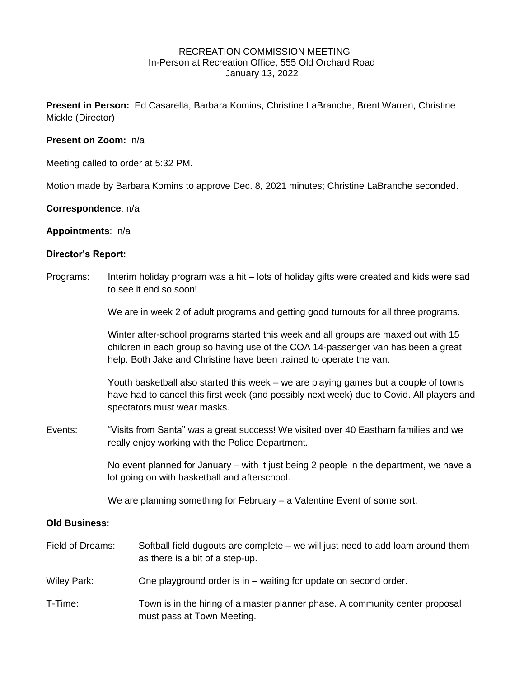# RECREATION COMMISSION MEETING In-Person at Recreation Office, 555 Old Orchard Road January 13, 2022

**Present in Person:** Ed Casarella, Barbara Komins, Christine LaBranche, Brent Warren, Christine Mickle (Director)

# **Present on Zoom:** n/a

Meeting called to order at 5:32 PM.

Motion made by Barbara Komins to approve Dec. 8, 2021 minutes; Christine LaBranche seconded.

#### **Correspondence**: n/a

#### **Appointments**: n/a

#### **Director's Report:**

Programs: Interim holiday program was a hit – lots of holiday gifts were created and kids were sad to see it end so soon!

We are in week 2 of adult programs and getting good turnouts for all three programs.

Winter after-school programs started this week and all groups are maxed out with 15 children in each group so having use of the COA 14-passenger van has been a great help. Both Jake and Christine have been trained to operate the van.

Youth basketball also started this week – we are playing games but a couple of towns have had to cancel this first week (and possibly next week) due to Covid. All players and spectators must wear masks.

Events: "Visits from Santa" was a great success! We visited over 40 Eastham families and we really enjoy working with the Police Department.

> No event planned for January – with it just being 2 people in the department, we have a lot going on with basketball and afterschool.

We are planning something for February – a Valentine Event of some sort.

# **Old Business:**

| Field of Dreams:   | Softball field dugouts are complete – we will just need to add loam around them<br>as there is a bit of a step-up. |
|--------------------|--------------------------------------------------------------------------------------------------------------------|
| <b>Wiley Park:</b> | One playground order is in – waiting for update on second order.                                                   |
| T-Time:            | Town is in the hiring of a master planner phase. A community center proposal<br>must pass at Town Meeting.         |